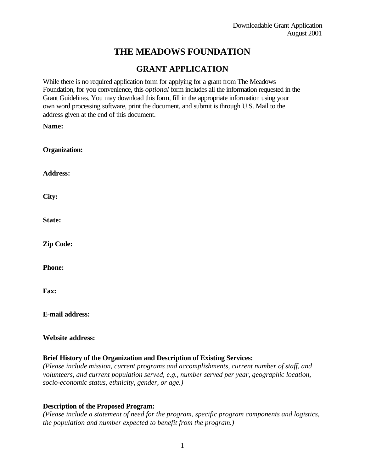# **THE MEADOWS FOUNDATION**

## **GRANT APPLICATION**

While there is no required application form for applying for a grant from The Meadows Foundation, for you convenience, this *optional* form includes all the information requested in the Grant Guidelines. You may download this form, fill in the appropriate information using your own word processing software, print the document, and submit is through U.S. Mail to the address given at the end of this document.

**Name:**

| <b>Organization:</b> |
|----------------------|
| <b>Address:</b>      |
| City:                |
| State:               |
| <b>Zip Code:</b>     |
| <b>Phone:</b>        |
| Fax:                 |

**E-mail address:**

## **Website address:**

## **Brief History of the Organization and Description of Existing Services:**

*(Please include mission, current programs and accomplishments, current number of staff, and volunteers, and current population served, e.g., number served per year, geographic location, socio-economic status, ethnicity, gender, or age.)*

## **Description of the Proposed Program:**

*(Please include a statement of need for the program, specific program components and logistics, the population and number expected to benefit from the program.)*